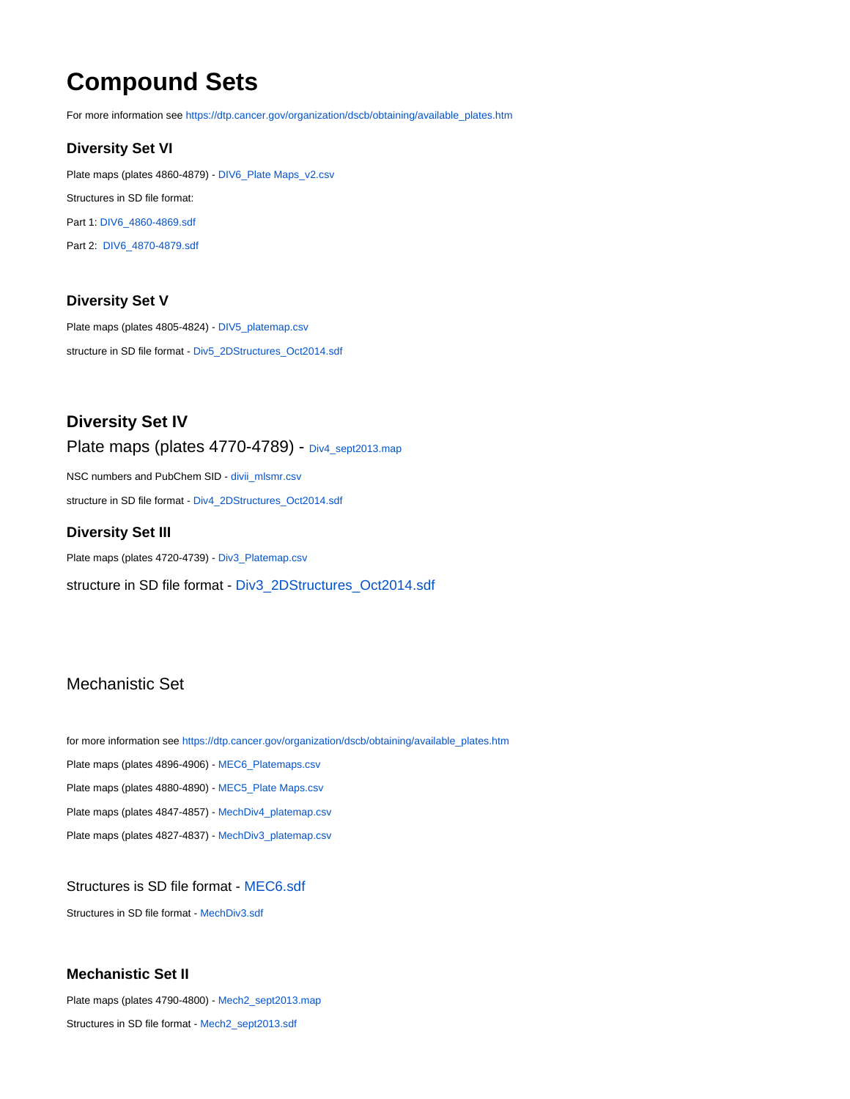# **Compound Sets**

For more information see [https://dtp.cancer.gov/organization/dscb/obtaining/available\\_plates.htm](https://dtp.cancer.gov/organization/dscb/obtaining/available_plates.htm)

# **Diversity Set VI**

Plate maps (plates 4860-4879) - [DIV6\\_Plate Maps\\_v2.csv](https://wiki.nci.nih.gov/download/attachments/160989212/DIV6_Plate%20Maps_v2.csv?version=1&modificationDate=1509649987000&api=v2) Structures in SD file format: Part 1: [DIV6\\_4860-4869.sdf](https://wiki.nci.nih.gov/download/attachments/160989212/DIV6_4860-4869.sdf?version=1&modificationDate=1605644017000&api=v2) Part 2: [DIV6\\_4870-4879.sdf](https://wiki.nci.nih.gov/download/attachments/160989212/DIV6_4870-4879.sdf?version=1&modificationDate=1605644025000&api=v2)

# **Diversity Set V**

Plate maps (plates 4805-4824) - [DIV5\\_platemap.csv](https://wiki.nci.nih.gov/download/attachments/160989212/DIV5_platemap.csv?version=1&modificationDate=1413986700000&api=v2) structure in SD file format - [Div5\\_2DStructures\\_Oct2014.sdf](https://wiki.nci.nih.gov/download/attachments/160989212/Div5_2DStructures_Oct2014.sdf?version=1&modificationDate=1413986678000&api=v2)

**Diversity Set IV** Plate maps (plates 4770-4789) - [Div4\\_sept2013.map](https://wiki.nci.nih.gov/download/attachments/160989212/Div4_sept2013.map?version=1&modificationDate=1380204890000&api=v2)

NSC numbers and PubChem SID - [divii\\_mlsmr.csv](https://wiki.nci.nih.gov/download/attachments/160989212/divii_mlsmr.csv?version=1&modificationDate=1380201115000&api=v2) structure in SD file format - [Div4\\_2DStructures\\_Oct2014.sdf](https://wiki.nci.nih.gov/download/attachments/160989212/Div4_2DStructures_Oct2014.sdf?version=1&modificationDate=1413986565000&api=v2)

#### **Diversity Set III**

Plate maps (plates 4720-4739) - [Div3\\_Platemap.csv](https://wiki.nci.nih.gov/download/attachments/160989212/Div3_Platemap.csv?version=1&modificationDate=1407422943000&api=v2) structure in SD file format - [Div3\\_2DStructures\\_Oct2014.sdf](https://wiki.nci.nih.gov/download/attachments/160989212/Div3_2DStructures_Oct2014.sdf?version=1&modificationDate=1413986607000&api=v2)

# Mechanistic Set

for more information see [https://dtp.cancer.gov/organization/dscb/obtaining/available\\_plates.htm](https://dtp.cancer.gov/organization/dscb/obtaining/available_plates.htm) Plate maps (plates 4896-4906) - [MEC6\\_Platemaps.csv](https://wiki.nci.nih.gov/download/attachments/160989212/MEC6_Platemaps.csv?version=1&modificationDate=1620165850000&api=v2) Plate maps (plates 4880-4890) - [MEC5\\_Plate Maps.csv](https://wiki.nci.nih.gov/download/attachments/160989212/MEC5_Plate%20Maps.csv?version=1&modificationDate=1543261696000&api=v2) Plate maps (plates 4847-4857) - [MechDiv4\\_platemap.csv](https://wiki.nci.nih.gov/download/attachments/160989212/MechDiv4_platemap.csv?version=1&modificationDate=1490118798000&api=v2) Plate maps (plates 4827-4837) - [MechDiv3\\_platemap.csv](https://wiki.nci.nih.gov/download/attachments/160989212/MechDiv3_platemap.csv?version=1&modificationDate=1435323360000&api=v2)

# Structures is SD file format - [MEC6.sdf](https://wiki.nci.nih.gov/download/attachments/160989212/MEC6.sdf?version=1&modificationDate=1620165851000&api=v2)

Structures in SD file format - [MechDiv3.sdf](https://wiki.nci.nih.gov/download/attachments/160989212/MechDiv3.sdf?version=1&modificationDate=1435323259000&api=v2)

#### **Mechanistic Set II**

Plate maps (plates 4790-4800) - [Mech2\\_sept2013.map](https://wiki.nci.nih.gov/download/attachments/160989212/Mech2_sept2013.map?version=1&modificationDate=1380204941000&api=v2) Structures in SD file format - [Mech2\\_sept2013.sdf](https://wiki.nci.nih.gov/download/attachments/160989212/Mech2_sept2013.sdf?version=1&modificationDate=1380205561000&api=v2)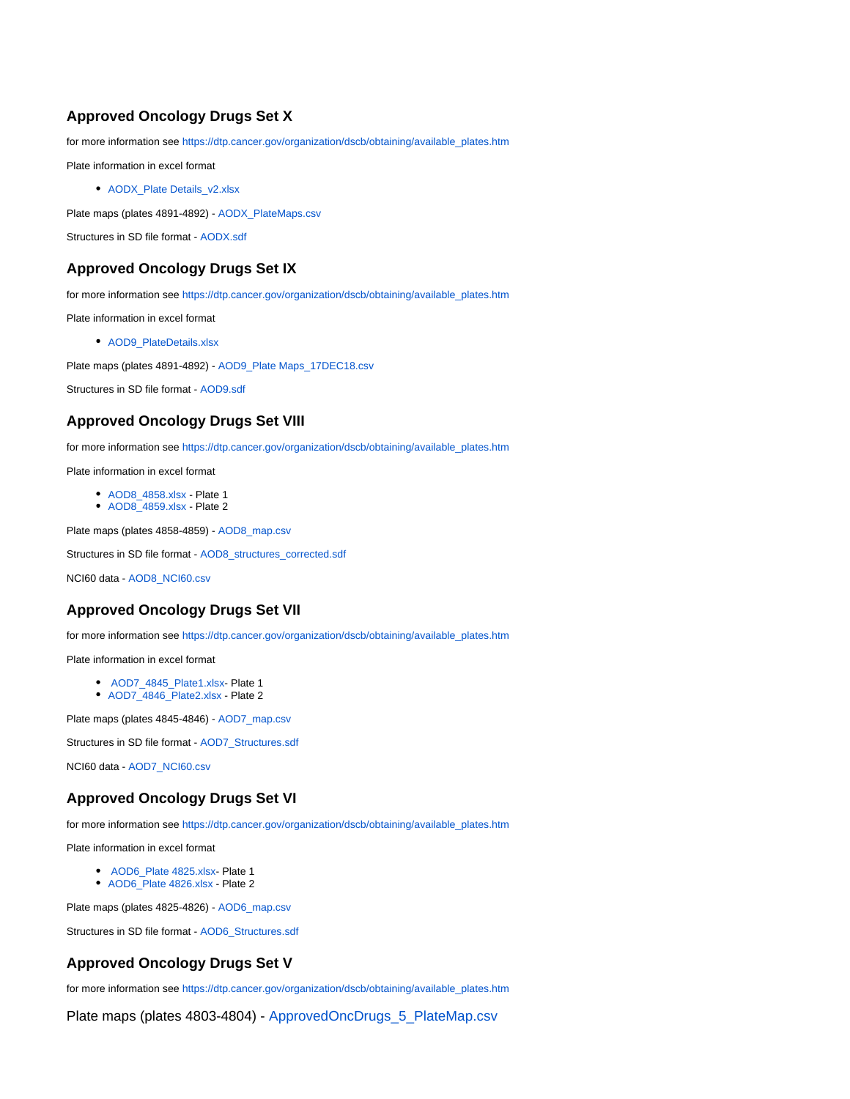# **Approved Oncology Drugs Set X**

for more information see [https://dtp.cancer.gov/organization/dscb/obtaining/available\\_plates.htm](https://dtp.cancer.gov/organization/dscb/obtaining/available_plates.htm)

Plate information in excel format

• [AODX\\_Plate Details\\_v2.xlsx](https://wiki.nci.nih.gov/download/attachments/160989212/AODX_Plate%20Details_v2.xlsx?version=1&modificationDate=1621022479000&api=v2)

Plate maps (plates 4891-4892) - [AODX\\_PlateMaps.csv](https://wiki.nci.nih.gov/download/attachments/160989212/AODX_PlateMaps.csv?version=1&modificationDate=1604944851000&api=v2)

Structures in SD file format - [AODX.sdf](https://wiki.nci.nih.gov/download/attachments/160989212/AODX.sdf?version=1&modificationDate=1604944863000&api=v2)

#### **Approved Oncology Drugs Set IX**

for more information see [https://dtp.cancer.gov/organization/dscb/obtaining/available\\_plates.htm](https://dtp.cancer.gov/organization/dscb/obtaining/available_plates.htm)

Plate information in excel format

• AOD9 PlateDetails.xlsx

Plate maps (plates 4891-4892) - [AOD9\\_Plate Maps\\_17DEC18.csv](https://wiki.nci.nih.gov/download/attachments/160989212/AOD9_Plate%20Maps_17DEC18.csv?version=1&modificationDate=1545138075000&api=v2)

Structures in SD file format - [AOD9.sdf](https://wiki.nci.nih.gov/download/attachments/160989212/AOD9.sdf?version=1&modificationDate=1545155107000&api=v2)

#### **Approved Oncology Drugs Set VIII**

for more information see [https://dtp.cancer.gov/organization/dscb/obtaining/available\\_plates.htm](https://dtp.cancer.gov/organization/dscb/obtaining/available_plates.htm)

Plate information in excel format

- [AOD8\\_4858.xlsx](https://wiki.nci.nih.gov/download/attachments/160989212/AOD8%20-%20Plate%201.xlsx?version=1&modificationDate=1492515093000&api=v2) Plate 1
- [AOD8\\_4859.xlsx](https://wiki.nci.nih.gov/download/attachments/160989212/AOD8%20-%20Plate%202.xlsx?version=1&modificationDate=1492515129000&api=v2)  Plate 2

Plate maps (plates 4858-4859) - [AOD8\\_map.csv](https://wiki.nci.nih.gov/download/attachments/160989212/AOD8_PlateMaps.csv?version=1&modificationDate=1492515193000&api=v2)

Structures in SD file format - [AOD8\\_structures\\_corrected.sdf](https://wiki.nci.nih.gov/download/attachments/160989212/AOD8_structures_corrected.sdf?version=1&modificationDate=1510673148000&api=v2)

NCI60 data - [AOD8\\_NCI60.csv](https://wiki.nci.nih.gov/download/attachments/160989212/AOD8_NCI60.csv?version=2&modificationDate=1545155241000&api=v2)

#### **Approved Oncology Drugs Set VII**

for more information see [https://dtp.cancer.gov/organization/dscb/obtaining/available\\_plates.htm](https://dtp.cancer.gov/organization/dscb/obtaining/available_plates.htm)

Plate information in excel format

- [AOD7\\_4845\\_Plate1.xlsx-](https://wiki.nci.nih.gov/download/attachments/160989212/AOD7_4845_Plate1.xlsx?version=1&modificationDate=1454330057000&api=v2) Plate 1
- [AOD7\\_4846\\_Plate2.xlsx](https://wiki.nci.nih.gov/download/attachments/160989212/AOD7_4846_Plate2.xlsx?version=1&modificationDate=1454330096000&api=v2)  Plate 2

Plate maps (plates 4845-4846) - [AOD7\\_map.csv](https://wiki.nci.nih.gov/download/attachments/160989212/AOD7_map.csv?version=1&modificationDate=1454330357000&api=v2)

Structures in SD file format - [AOD7\\_Structures.sdf](https://wiki.nci.nih.gov/download/attachments/160989212/AOD7.sdf?version=1&modificationDate=1462382793000&api=v2)

NCI60 data - [AOD7\\_NCI60.csv](https://wiki.nci.nih.gov/download/attachments/160989212/AOD7_NCI60.csv?version=1&modificationDate=1458059867000&api=v2)

### **Approved Oncology Drugs Set VI**

for more information see [https://dtp.cancer.gov/organization/dscb/obtaining/available\\_plates.htm](https://dtp.cancer.gov/organization/dscb/obtaining/available_plates.htm)

Plate information in excel format

- **[AOD6\\_Plate 4825.xlsx-](https://wiki.nci.nih.gov/download/attachments/160989212/AOD6_Plate%204825.xlsx?version=1&modificationDate=1430484142000&api=v2) Plate 1**
- [AOD6\\_Plate 4826.xlsx](https://wiki.nci.nih.gov/download/attachments/160989212/AOD6_Plate%204826.xlsx?version=1&modificationDate=1430484170000&api=v2) Plate 2

Plate maps (plates 4825-4826) - [AOD6\\_map.csv](https://wiki.nci.nih.gov/download/attachments/160989212/load_AOD6.csv?version=1&modificationDate=1430484207000&api=v2)

Structures in SD file format - [AOD6\\_Structures.sdf](https://wiki.nci.nih.gov/download/attachments/160989212/AOD6_Structures.sdf?version=1&modificationDate=1430484258000&api=v2)

#### **Approved Oncology Drugs Set V**

for more information see [https://dtp.cancer.gov/organization/dscb/obtaining/available\\_plates.htm](https://dtp.cancer.gov/organization/dscb/obtaining/available_plates.htm)

Plate maps (plates 4803-4804) - [ApprovedOncDrugs\\_5\\_PlateMap.csv](https://wiki.nci.nih.gov/download/attachments/160989212/ApprovedOncDrugs_5_PlateMap.csv?version=1&modificationDate=1407867459000&api=v2)